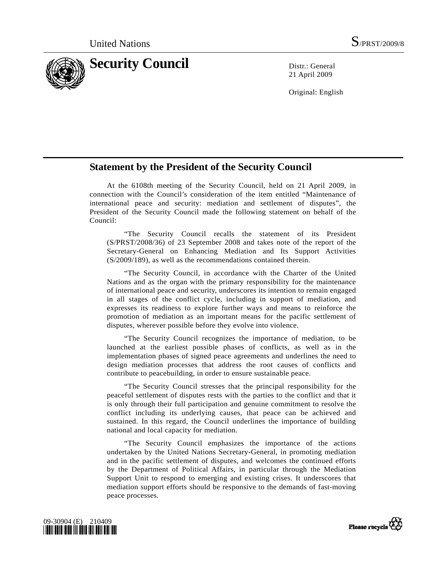

21 April 2009

Original: English

## **Statement by the President of the Security Council**

 At the 6108th meeting of the Security Council, held on 21 April 2009, in connection with the Council's consideration of the item entitled "Maintenance of international peace and security: mediation and settlement of disputes", the President of the Security Council made the following statement on behalf of the Council:

 "The Security Council recalls the statement of its President (S/PRST/2008/36) of 23 September 2008 and takes note of the report of the Secretary-General on Enhancing Mediation and Its Support Activities (S/2009/189), as well as the recommendations contained therein.

 "The Security Council, in accordance with the Charter of the United Nations and as the organ with the primary responsibility for the maintenance of international peace and security, underscores its intention to remain engaged in all stages of the conflict cycle, including in support of mediation, and expresses its readiness to explore further ways and means to reinforce the promotion of mediation as an important means for the pacific settlement of disputes, wherever possible before they evolve into violence.

 "The Security Council recognizes the importance of mediation, to be launched at the earliest possible phases of conflicts, as well as in the implementation phases of signed peace agreements and underlines the need to design mediation processes that address the root causes of conflicts and contribute to peacebuilding, in order to ensure sustainable peace.

 "The Security Council stresses that the principal responsibility for the peaceful settlement of disputes rests with the parties to the conflict and that it is only through their full participation and genuine commitment to resolve the conflict including its underlying causes, that peace can be achieved and sustained. In this regard, the Council underlines the importance of building national and local capacity for mediation.

 "The Security Council emphasizes the importance of the actions undertaken by the United Nations Secretary-General, in promoting mediation and in the pacific settlement of disputes, and welcomes the continued efforts by the Department of Political Affairs, in particular through the Mediation Support Unit to respond to emerging and existing crises. It underscores that mediation support efforts should be responsive to the demands of fast-moving peace processes.